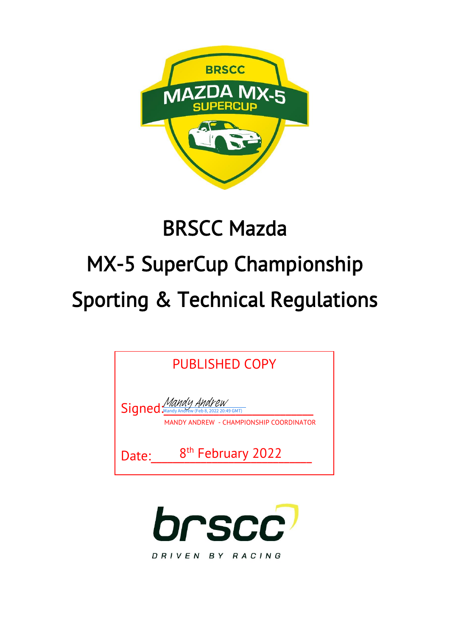

# BRSCC Mazda MX-5 SuperCup Championship Sporting & Technical Regulations

| PUBLISHED COPY                                                 |                               |  |  |  |
|----------------------------------------------------------------|-------------------------------|--|--|--|
| Signed Mandy Andrew<br>MANDY ANDREW - CHAMPIONSHIP COORDINATOR |                               |  |  |  |
| Date:                                                          | 8 <sup>th</sup> February 2022 |  |  |  |

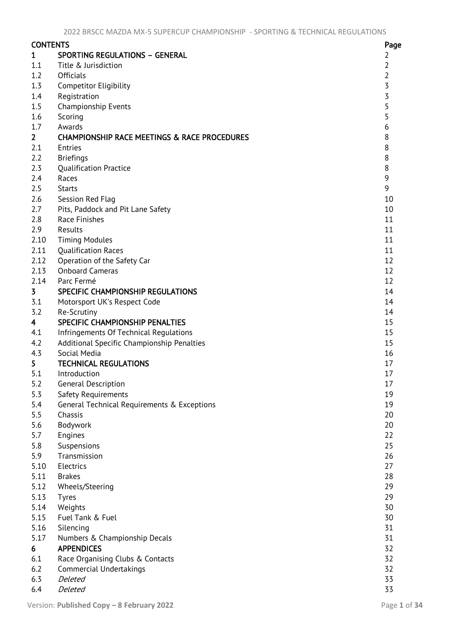| <b>CONTENTS</b>         |                                                         | Page           |
|-------------------------|---------------------------------------------------------|----------------|
| 1                       | <b>SPORTING REGULATIONS - GENERAL</b>                   | 2              |
| 1.1                     | Title & Jurisdiction                                    | 2              |
| 1.2                     | <b>Officials</b>                                        | $\overline{2}$ |
| 1.3                     | <b>Competitor Eligibility</b>                           | $\overline{5}$ |
| 1.4                     | Registration                                            | $\overline{3}$ |
| 1.5                     | Championship Events                                     | 5              |
| 1.6                     | Scoring                                                 | 5              |
| 1.7                     | Awards                                                  | 6              |
| 2 <sup>7</sup>          | <b>CHAMPIONSHIP RACE MEETINGS &amp; RACE PROCEDURES</b> | 8              |
| 2.1                     | Entries                                                 | $\,8\,$        |
| 2.2                     | <b>Briefings</b>                                        | $\,8$          |
| 2.3                     | <b>Qualification Practice</b>                           | $\,8\,$        |
| 2.4                     | Races                                                   | 9              |
| 2.5                     | <b>Starts</b>                                           | 9              |
| 2.6                     | Session Red Flag                                        | 10             |
| 2.7                     | Pits, Paddock and Pit Lane Safety                       | 10             |
| 2.8                     | Race Finishes                                           | 11             |
| 2.9                     | Results                                                 | 11             |
| 2.10                    | <b>Timing Modules</b>                                   | 11             |
| 2.11                    | <b>Qualification Races</b>                              | 11             |
| 2.12                    | Operation of the Safety Car                             | 12             |
| 2.13                    | <b>Onboard Cameras</b>                                  | 12             |
| 2.14                    | Parc Fermé                                              | 12             |
| $\overline{3}$          | SPECIFIC CHAMPIONSHIP REGULATIONS                       | 14             |
| 3.1                     | Motorsport UK's Respect Code                            | 14             |
| 3.2                     | Re-Scrutiny                                             | 14             |
| $\overline{\mathbf{r}}$ | SPECIFIC CHAMPIONSHIP PENALTIES                         | 15             |
| 4.1                     | Infringements Of Technical Regulations                  | 15             |
| 4.2                     | Additional Specific Championship Penalties              | 15             |
| 4.3                     | Social Media                                            | 16             |
| 5.                      | <b>TECHNICAL REGULATIONS</b>                            | 17             |
| 5.1                     | Introduction                                            | 17             |
| 5.2                     | <b>General Description</b>                              | 17             |
| 5.3                     | Safety Requirements                                     | 19             |
| 5.4                     | General Technical Requirements & Exceptions             | 19             |
| 5.5                     | Chassis                                                 | 20             |
| 5.6                     | Bodywork                                                | 20             |
| 5.7                     | Engines                                                 | 22             |
| 5.8                     | Suspensions                                             | 25             |
| 5.9                     | Transmission                                            | 26             |
| 5.10                    | Electrics                                               | 27             |
| 5.11                    | <b>Brakes</b>                                           | 28             |
| 5.12                    | Wheels/Steering                                         | 29             |
| 5.13                    | <b>Tyres</b>                                            | 29             |
| 5.14                    | Weights                                                 | 30             |
| 5.15                    | Fuel Tank & Fuel                                        | 30             |
| 5.16                    | Silencing                                               | 31             |
| 5.17                    |                                                         | 31             |
| 6                       | Numbers & Championship Decals<br><b>APPENDICES</b>      | 32             |
| 6.1                     | Race Organising Clubs & Contacts                        | 32             |
| 6.2                     | <b>Commercial Undertakings</b>                          | 32             |
| 6.3                     | Deleted                                                 | 33             |
|                         | Deleted                                                 | 33             |
| 6.4                     |                                                         |                |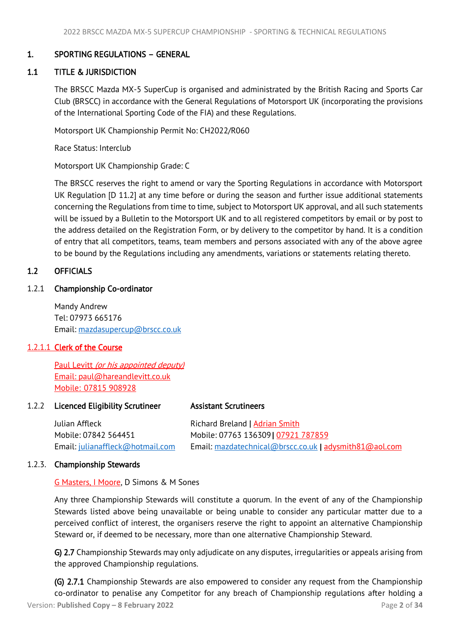# <span id="page-2-3"></span><span id="page-2-0"></span>1. SPORTING REGULATIONS – GENERAL

# 1.1 TITLE & JURISDICTION

<span id="page-2-1"></span>The BRSCC Mazda MX-5 SuperCup is organised and administrated by the British Racing and Sports Car Club (BRSCC) in accordance with the General Regulations of Motorsport UK (incorporating the provisions of the International Sporting Code of the FIA) and these Regulations.

Motorsport UK Championship Permit No: CH2022/R060

Race Status: Interclub

Motorsport UK Championship Grade: C

The BRSCC reserves the right to amend or vary the Sporting Regulations in accordance with Motorsport UK Regulation [D 11.2] at any time before or during the season and further issue additional statements concerning the Regulations from time to time, subject to Motorsport UK approval, and all such statements will be issued by a Bulletin to the Motorsport UK and to all registered competitors by email or by post to the address detailed on the Registration Form, or by delivery to the competitor by hand. It is a condition of entry that all competitors, teams, team members and persons associated with any of the above agree to be bound by the Regulations including any amendments, variations or statements relating thereto.

# <span id="page-2-2"></span>1.2 OFFICIALS

# 1.2.1 Championship Co-ordinator

Mandy Andrew Tel: 07973 665176 Email: [mazdasupercup@brscc.co.uk](mailto:mazdasupercup@brscc.co.uk)

# 1.2.1.1 Clerk of the Course

 Paul Levitt (or his appointed deputy) Email: [paul@hareandlevitt.co.uk](mailto:paul@hareandlevitt.co.uk) Mobile: 07815 908928

# 1.2.2 Licenced Eligibility Scrutineer Assistant Scrutineers

Julian Affleck Richard Breland | Adrian Smith Mobile: 07842 564451 Mobile: 07763 136309| 07921 787859 Email: [julianaffleck@hotmail.com](mailto:julianaffleck@hotmail.com) Email: [mazdatechnical@brscc.co.uk](mailto:mazdatechnical@brscc.co.uk) | [adysmith81@aol.com](mailto:adysmith81@aol.com)

#### 1.2.3. Championship Stewards

G Masters, I Moore, D Simons & M Sones

Any three Championship Stewards will constitute a quorum. In the event of any of the Championship Stewards listed above being unavailable or being unable to consider any particular matter due to a perceived conflict of interest, the organisers reserve the right to appoint an alternative Championship Steward or, if deemed to be necessary, more than one alternative Championship Steward.

G) 2.7 Championship Stewards may only adjudicate on any disputes, irregularities or appeals arising from the approved Championship regulations.

Version: **Published Copy – 8 February 2022** Page **2** of **34** (G) 2.7.1 Championship Stewards are also empowered to consider any request from the Championship co-ordinator to penalise any Competitor for any breach of Championship regulations after holding a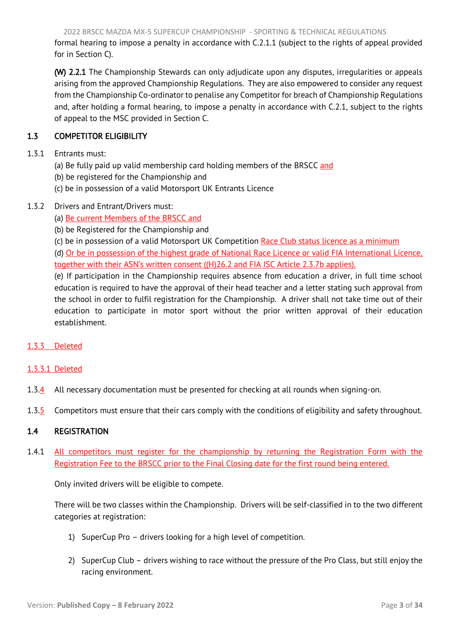2022 BRSCC MAZDA MX-5 SUPERCUP CHAMPIONSHIP - SPORTING & TECHNICAL REGULATIONS

<span id="page-3-2"></span>formal hearing to impose a penalty in accordance with C.2.1.1 (subject to the rights of appeal provided for in Section C).

(W) 2.2.1 The Championship Stewards can only adjudicate upon any disputes, irregularities or appeals arising from the approved Championship Regulations. They are also empowered to consider any request from the Championship Co-ordinator to penalise any Competitor for breach of Championship Regulations and, after holding a formal hearing, to impose a penalty in accordance with C.2.1, subject to the rights of appeal to the MSC provided in Section C.

# <span id="page-3-0"></span>1.3 COMPETITOR ELIGIBILITY

- 1.3.1 Entrants must:
	- (a) Be fully paid up valid membership card holding members of the BRSCC and
	- (b) be registered for the Championship and
	- (c) be in possession of a valid Motorsport UK Entrants Licence
- 1.3.2 Drivers and Entrant/Drivers must:
	- (a) Be current Members of the BRSCC and
	- (b) be Registered for the Championship and
	- (c) be in possession of a valid Motorsport UK Competition Race Club status licence as a minimum

(d) Or be in possession of the highest grade of National Race Licence or valid FIA International Licence, together with their ASN's written consent ((H)26.2 and FIA ISC Article 2.3.7b applies).

(e) If participation in the Championship requires absence from education a driver, in full time school education is required to have the approval of their head teacher and a letter stating such approval from the school in order to fulfil registration for the Championship. A driver shall not take time out of their education to participate in motor sport without the prior written approval of their education establishment.

# 1.3.3 Deleted

# 1.3.3.1 Deleted

- 1.3.4 All necessary documentation must be presented for checking at all rounds when signing-on.
- 1.3.5 Competitors must ensure that their cars comply with the conditions of eligibility and safety throughout.

# <span id="page-3-1"></span>1.4 REGISTRATION

1.4.1 All competitors must register for the championship by returning the Registration Form with the Registration Fee to the BRSCC prior to the Final Closing date for the first round being entered.

Only invited drivers will be eligible to compete.

There will be two classes within the Championship. Drivers will be self-classified in to the two different categories at registration:

- 1) SuperCup Pro drivers looking for a high level of competition.
- 2) SuperCup Club drivers wishing to race without the pressure of the Pro Class, but still enjoy the racing environment.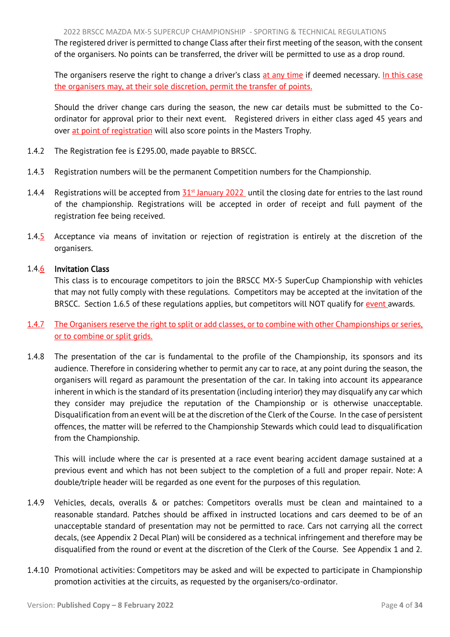The registered driver is permitted to change Class after their first meeting of the season, with the consent of the organisers. No points can be transferred, the driver will be permitted to use as a drop round.

The organisers reserve the right to change a driver's class at any time if deemed necessary. In this case the organisers may, at their sole discretion, permit the transfer of points.

Should the driver change cars during the season, the new car details must be submitted to the Coordinator for approval prior to their next event. Registered drivers in either class aged 45 years and over at point of registration will also score points in the Masters Trophy.

- 1.4.2 The Registration fee is £295.00, made payable to BRSCC.
- 1.4.3 Registration numbers will be the permanent Competition numbers for the Championship.
- 1.4.4 Registrations will be accepted from  $31<sup>st</sup>$  January 2022 until the closing date for entries to the last round of the championship. Registrations will be accepted in order of receipt and full payment of the registration fee being received.
- 1.4.5 Acceptance via means of invitation or rejection of registration is entirely at the discretion of the organisers.

#### 1.4.6 Invitation Class

This class is to encourage competitors to join the BRSCC MX-5 SuperCup Championship with vehicles that may not fully comply with these regulations. Competitors may be accepted at the invitation of the BRSCC. Section 1.6.5 of these regulations applies, but competitors will NOT qualify for event awards.

- 1.4.7 The Organisers reserve the right to split or add classes, or to combine with other Championships or series, or to combine or split grids.
- 1.4.8 The presentation of the car is fundamental to the profile of the Championship, its sponsors and its audience. Therefore in considering whether to permit any car to race, at any point during the season, the organisers will regard as paramount the presentation of the car. In taking into account its appearance inherent in which is the standard of its presentation (including interior) they may disqualify any car which they consider may prejudice the reputation of the Championship or is otherwise unacceptable. Disqualification from an event will be at the discretion of the Clerk of the Course. In the case of persistent offences, the matter will be referred to the Championship Stewards which could lead to disqualification from the Championship.

This will include where the car is presented at a race event bearing accident damage sustained at a previous event and which has not been subject to the completion of a full and proper repair. Note: A double/triple header will be regarded as one event for the purposes of this regulation.

- 1.4.9 Vehicles, decals, overalls & or patches: Competitors overalls must be clean and maintained to a reasonable standard. Patches should be affixed in instructed locations and cars deemed to be of an unacceptable standard of presentation may not be permitted to race. Cars not carrying all the correct decals, (see Appendix 2 Decal Plan) will be considered as a technical infringement and therefore may be disqualified from the round or event at the discretion of the Clerk of the Course. See Appendix 1 and 2.
- 1.4.10 Promotional activities: Competitors may be asked and will be expected to participate in Championship promotion activities at the circuits, as requested by the organisers/co-ordinator.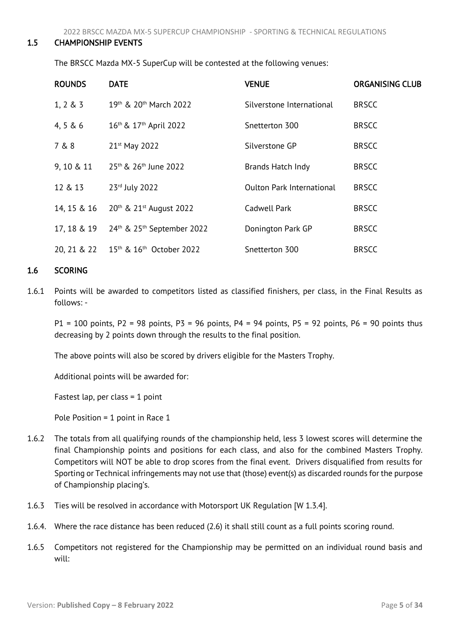<span id="page-5-0"></span>2022 BRSCC MAZDA MX-5 SUPERCUP CHAMPIONSHIP - SPORTING & TECHNICAL REGULATIONS

#### <span id="page-5-2"></span>1.5 CHAMPIONSHIP EVENTS

The BRSCC Mazda MX-5 SuperCup will be contested at the following venues:

| <b>ROUNDS</b> | <b>DATE</b>                                        | <b>VENUE</b>                     | <b>ORGANISING CLUB</b> |
|---------------|----------------------------------------------------|----------------------------------|------------------------|
| $1, 2 \& 3$   | 19th & 20th March 2022                             | Silverstone International        | <b>BRSCC</b>           |
| 4, 5 & 6      | 16th & 17th April 2022                             | Snetterton 300                   | <b>BRSCC</b>           |
| 7 & 8         | 21 <sup>st</sup> May 2022                          | Silverstone GP                   | <b>BRSCC</b>           |
| 9, 10 & 11    | 25 <sup>th</sup> & 26 <sup>th</sup> June 2022      | Brands Hatch Indy                | <b>BRSCC</b>           |
| 12 & 13       | 23rd July 2022                                     | <b>Oulton Park International</b> | <b>BRSCC</b>           |
| 14, 15 & 16   | 20th & 21st August 2022                            | Cadwell Park                     | <b>BRSCC</b>           |
| 17, 18 & 19   | 24 <sup>th</sup> & 25 <sup>th</sup> September 2022 | Donington Park GP                | <b>BRSCC</b>           |
| 20, 21 & 22   | 15 <sup>th</sup> & 16 <sup>th</sup> October 2022   | Snetterton 300                   | <b>BRSCC</b>           |

# <span id="page-5-1"></span>1.6 SCORING

1.6.1 Points will be awarded to competitors listed as classified finishers, per class, in the Final Results as follows: -

 $P1 = 100$  points, P2 = 98 points, P3 = 96 points, P4 = 94 points, P5 = 92 points, P6 = 90 points thus decreasing by 2 points down through the results to the final position.

The above points will also be scored by drivers eligible for the Masters Trophy.

Additional points will be awarded for:

Fastest lap, per class  $= 1$  point

Pole Position = 1 point in Race 1

- 1.6.2 The totals from all qualifying rounds of the championship held, less 3 lowest scores will determine the final Championship points and positions for each class, and also for the combined Masters Trophy. Competitors will NOT be able to drop scores from the final event. Drivers disqualified from results for Sporting or Technical infringements may not use that (those) event(s) as discarded rounds for the purpose of Championship placing's.
- 1.6.3 Ties will be resolved in accordance with Motorsport UK Regulation [W 1.3.4].
- 1.6.4. Where the race distance has been reduced (2.6) it shall still count as a full points scoring round.
- 1.6.5 Competitors not registered for the Championship may be permitted on an individual round basis and will: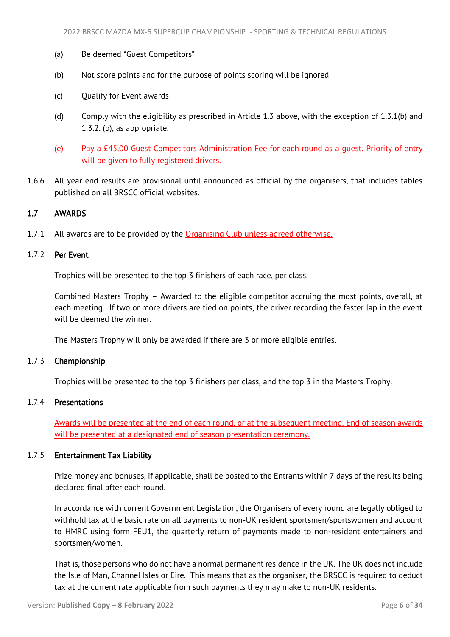- <span id="page-6-1"></span>(a) Be deemed "Guest Competitors"
- (b) Not score points and for the purpose of points scoring will be ignored
- (c) Qualify for Event awards
- (d) Comply with the eligibility as prescribed in Article 1.3 above, with the exception of 1.3.1(b) and 1.3.2. (b), as appropriate.
- (e) Pay a £45.00 Guest Competitors Administration Fee for each round as a guest. Priority of entry will be given to fully registered drivers.
- <span id="page-6-0"></span>1.6.6 All year end results are provisional until announced as official by the organisers, that includes tables published on all BRSCC official websites.

# 1.7 AWARDS

1.7.1 All awards are to be provided by the Organising Club unless agreed otherwise.

# 1.7.2 Per Event

Trophies will be presented to the top 3 finishers of each race, per class.

Combined Masters Trophy – Awarded to the eligible competitor accruing the most points, overall, at each meeting. If two or more drivers are tied on points, the driver recording the faster lap in the event will be deemed the winner.

The Masters Trophy will only be awarded if there are 3 or more eligible entries.

# 1.7.3 Championship

Trophies will be presented to the top 3 finishers per class, and the top 3 in the Masters Trophy.

#### 1.7.4 Presentations

Awards will be presented at the end of each round, or at the subsequent meeting. End of season awards will be presented at a designated end of season presentation ceremony.

#### 1.7.5 Entertainment Tax Liability

Prize money and bonuses, if applicable, shall be posted to the Entrants within 7 days of the results being declared final after each round.

In accordance with current Government Legislation, the Organisers of every round are legally obliged to withhold tax at the basic rate on all payments to non-UK resident sportsmen/sportswomen and account to HMRC using form FEU1, the quarterly return of payments made to non-resident entertainers and sportsmen/women.

That is, those persons who do not have a normal permanent residence in the UK. The UK does not include the Isle of Man, Channel Isles or Eire. This means that as the organiser, the BRSCC is required to deduct tax at the current rate applicable from such payments they may make to non-UK residents.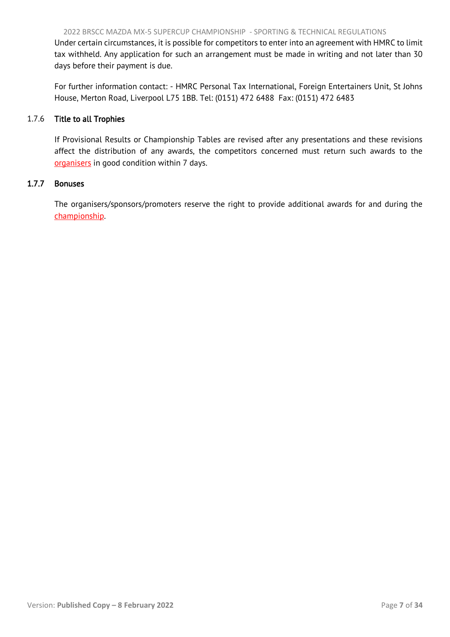Under certain circumstances, it is possible for competitors to enter into an agreement with HMRC to limit tax withheld. Any application for such an arrangement must be made in writing and not later than 30 days before their payment is due.

For further information contact: - HMRC Personal Tax International, Foreign Entertainers Unit, St Johns House, Merton Road, Liverpool L75 1BB. Tel: (0151) 472 6488 Fax: (0151) 472 6483

#### 1.7.6 Title to all Trophies

If Provisional Results or Championship Tables are revised after any presentations and these revisions affect the distribution of any awards, the competitors concerned must return such awards to the organisers in good condition within 7 days.

#### 1.7.7 Bonuses

The organisers/sponsors/promoters reserve the right to provide additional awards for and during the championship.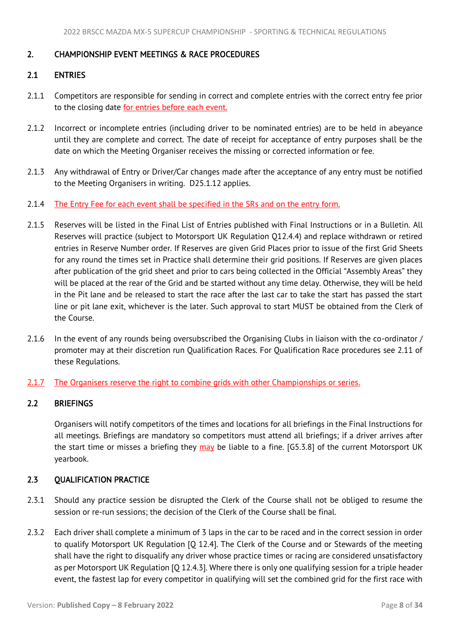# <span id="page-8-4"></span><span id="page-8-0"></span>2. CHAMPIONSHIP EVENT MEETINGS & RACE PROCEDURES

# <span id="page-8-1"></span>2.1 ENTRIES

- 2.1.1 Competitors are responsible for sending in correct and complete entries with the correct entry fee prior to the closing date for entries before each event.
- 2.1.2 Incorrect or incomplete entries (including driver to be nominated entries) are to be held in abeyance until they are complete and correct. The date of receipt for acceptance of entry purposes shall be the date on which the Meeting Organiser receives the missing or corrected information or fee.
- 2.1.3 Any withdrawal of Entry or Driver/Car changes made after the acceptance of any entry must be notified to the Meeting Organisers in writing. D25.1.12 applies.
- 2.1.4 The Entry Fee for each event shall be specified in the SRs and on the entry form.
- 2.1.5 Reserves will be listed in the Final List of Entries published with Final Instructions or in a Bulletin. All Reserves will practice (subject to Motorsport UK Regulation Q12.4.4) and replace withdrawn or retired entries in Reserve Number order. If Reserves are given Grid Places prior to issue of the first Grid Sheets for any round the times set in Practice shall determine their grid positions. If Reserves are given places after publication of the grid sheet and prior to cars being collected in the Official "Assembly Areas" they will be placed at the rear of the Grid and be started without any time delay. Otherwise, they will be held in the Pit lane and be released to start the race after the last car to take the start has passed the start line or pit lane exit, whichever is the later. Such approval to start MUST be obtained from the Clerk of the Course.
- 2.1.6 In the event of any rounds being oversubscribed the Organising Clubs in liaison with the co-ordinator / promoter may at their discretion run Qualification Races. For Qualification Race procedures see 2.11 of these Regulations.
- 2.1.7 The Organisers reserve the right to combine grids with other Championships or series.

# <span id="page-8-2"></span>2.2 BRIEFINGS

Organisers will notify competitors of the times and locations for all briefings in the Final Instructions for all meetings. Briefings are mandatory so competitors must attend all briefings; if a driver arrives after the start time or misses a briefing they may be liable to a fine. [G5.3.8] of the current Motorsport UK yearbook.

# <span id="page-8-3"></span>2.3 QUALIFICATION PRACTICE

- 2.3.1 Should any practice session be disrupted the Clerk of the Course shall not be obliged to resume the session or re-run sessions; the decision of the Clerk of the Course shall be final.
- 2.3.2 Each driver shall complete a minimum of 3 laps in the car to be raced and in the correct session in order to qualify Motorsport UK Regulation [Q 12.4]. The Clerk of the Course and or Stewards of the meeting shall have the right to disqualify any driver whose practice times or racing are considered unsatisfactory as per Motorsport UK Regulation [Q 12.4.3]. Where there is only one qualifying session for a triple header event, the fastest lap for every competitor in qualifying will set the combined grid for the first race with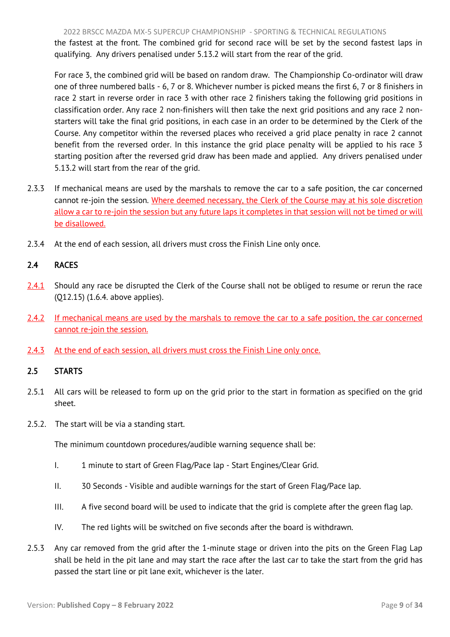2022 BRSCC MAZDA MX-5 SUPERCUP CHAMPIONSHIP - SPORTING & TECHNICAL REGULATIONS

<span id="page-9-2"></span>the fastest at the front. The combined grid for second race will be set by the second fastest laps in qualifying. Any drivers penalised under 5.13.2 will start from the rear of the grid.

For race 3, the combined grid will be based on random draw. The Championship Co-ordinator will draw one of three numbered balls - 6, 7 or 8. Whichever number is picked means the first 6, 7 or 8 finishers in race 2 start in reverse order in race 3 with other race 2 finishers taking the following grid positions in classification order. Any race 2 non-finishers will then take the next grid positions and any race 2 nonstarters will take the final grid positions, in each case in an order to be determined by the Clerk of the Course. Any competitor within the reversed places who received a grid place penalty in race 2 cannot benefit from the reversed order. In this instance the grid place penalty will be applied to his race 3 starting position after the reversed grid draw has been made and applied. Any drivers penalised under 5.13.2 will start from the rear of the grid.

- 2.3.3 If mechanical means are used by the marshals to remove the car to a safe position, the car concerned cannot re-join the session. Where deemed necessary, the Clerk of the Course may at his sole discretion allow a car to re-join the session but any future laps it completes in that session will not be timed or will be disallowed.
- 2.3.4 At the end of each session, all drivers must cross the Finish Line only once.

# <span id="page-9-0"></span>2.4 RACES

- 2.4.1 Should any race be disrupted the Clerk of the Course shall not be obliged to resume or rerun the race (Q12.15) (1.6.4. above applies).
- 2.4.2 If mechanical means are used by the marshals to remove the car to a safe position, the car concerned cannot re-join the session.
- 2.4.3 At the end of each session, all drivers must cross the Finish Line only once.

# <span id="page-9-1"></span>2.5 STARTS

- 2.5.1 All cars will be released to form up on the grid prior to the start in formation as specified on the grid sheet.
- 2.5.2. The start will be via a standing start.

The minimum countdown procedures/audible warning sequence shall be:

- I. 1 minute to start of Green Flag/Pace lap Start Engines/Clear Grid.
- II. 30 Seconds Visible and audible warnings for the start of Green Flag/Pace lap.
- III. A five second board will be used to indicate that the grid is complete after the green flag lap.
- IV. The red lights will be switched on five seconds after the board is withdrawn.
- 2.5.3 Any car removed from the grid after the 1-minute stage or driven into the pits on the Green Flag Lap shall be held in the pit lane and may start the race after the last car to take the start from the grid has passed the start line or pit lane exit, whichever is the later.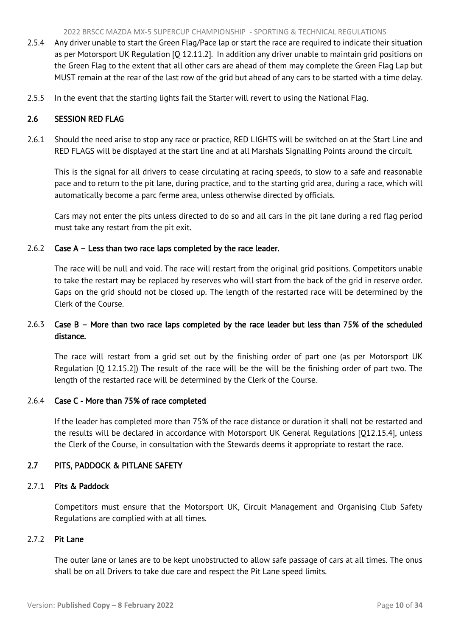- <span id="page-10-2"></span>2.5.4 Any driver unable to start the Green Flag/Pace lap or start the race are required to indicate their situation as per Motorsport UK Regulation [Q 12.11.2]. In addition any driver unable to maintain grid positions on the Green Flag to the extent that all other cars are ahead of them may complete the Green Flag Lap but MUST remain at the rear of the last row of the grid but ahead of any cars to be started with a time delay.
- 2.5.5 In the event that the starting lights fail the Starter will revert to using the National Flag.

# <span id="page-10-0"></span>2.6 SESSION RED FLAG

2.6.1 Should the need arise to stop any race or practice, RED LIGHTS will be switched on at the Start Line and RED FLAGS will be displayed at the start line and at all Marshals Signalling Points around the circuit.

This is the signal for all drivers to cease circulating at racing speeds, to slow to a safe and reasonable pace and to return to the pit lane, during practice, and to the starting grid area, during a race, which will automatically become a parc ferme area, unless otherwise directed by officials.

Cars may not enter the pits unless directed to do so and all cars in the pit lane during a red flag period must take any restart from the pit exit.

# 2.6.2 Case A – Less than two race laps completed by the race leader.

The race will be null and void. The race will restart from the original grid positions. Competitors unable to take the restart may be replaced by reserves who will start from the back of the grid in reserve order. Gaps on the grid should not be closed up. The length of the restarted race will be determined by the Clerk of the Course.

# 2.6.3 Case B – More than two race laps completed by the race leader but less than 75% of the scheduled distance.

The race will restart from a grid set out by the finishing order of part one (as per Motorsport UK Regulation [Q 12.15.2]) The result of the race will be the will be the finishing order of part two. The length of the restarted race will be determined by the Clerk of the Course.

# 2.6.4 Case C - More than 75% of race completed

If the leader has completed more than 75% of the race distance or duration it shall not be restarted and the results will be declared in accordance with Motorsport UK General Regulations [Q12.15.4], unless the Clerk of the Course, in consultation with the Stewards deems it appropriate to restart the race.

# <span id="page-10-1"></span>2.7 PITS, PADDOCK & PITLANE SAFETY

# 2.7.1 Pits & Paddock

Competitors must ensure that the Motorsport UK, Circuit Management and Organising Club Safety Regulations are complied with at all times.

# 2.7.2 Pit Lane

The outer lane or lanes are to be kept unobstructed to allow safe passage of cars at all times. The onus shall be on all Drivers to take due care and respect the Pit Lane speed limits.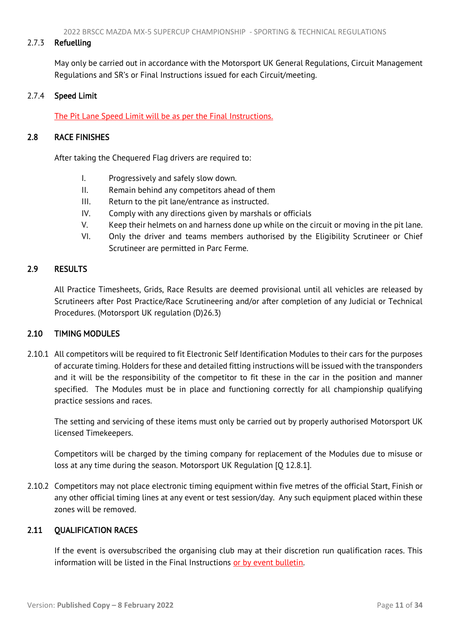# <span id="page-11-4"></span>2.7.3 Refuelling

May only be carried out in accordance with the Motorsport UK General Regulations, Circuit Management Regulations and SR's or Final Instructions issued for each Circuit/meeting.

# 2.7.4 Speed Limit

<span id="page-11-0"></span>The Pit Lane Speed Limit will be as per the Final Instructions.

# 2.8 RACE FINISHES

After taking the Chequered Flag drivers are required to:

- I. Progressively and safely slow down.
- II. Remain behind any competitors ahead of them
- III. Return to the pit lane/entrance as instructed.
- IV. Comply with any directions given by marshals or officials
- V. Keep their helmets on and harness done up while on the circuit or moving in the pit lane.
- VI. Only the driver and teams members authorised by the Eligibility Scrutineer or Chief Scrutineer are permitted in Parc Ferme.

# <span id="page-11-1"></span>2.9 RESULTS

All Practice Timesheets, Grids, Race Results are deemed provisional until all vehicles are released by Scrutineers after Post Practice/Race Scrutineering and/or after completion of any Judicial or Technical Procedures. (Motorsport UK regulation (D)26.3)

# <span id="page-11-2"></span>2.10 TIMING MODULES

2.10.1 All competitors will be required to fit Electronic Self Identification Modules to their cars for the purposes of accurate timing. Holders for these and detailed fitting instructions will be issued with the transponders and it will be the responsibility of the competitor to fit these in the car in the position and manner specified. The Modules must be in place and functioning correctly for all championship qualifying practice sessions and races.

The setting and servicing of these items must only be carried out by properly authorised Motorsport UK licensed Timekeepers.

Competitors will be charged by the timing company for replacement of the Modules due to misuse or loss at any time during the season. Motorsport UK Regulation [Q 12.8.1].

2.10.2 Competitors may not place electronic timing equipment within five metres of the official Start, Finish or any other official timing lines at any event or test session/day. Any such equipment placed within these zones will be removed.

# <span id="page-11-3"></span>2.11 QUALIFICATION RACES

If the event is oversubscribed the organising club may at their discretion run qualification races. This information will be listed in the Final Instructions or by event bulletin.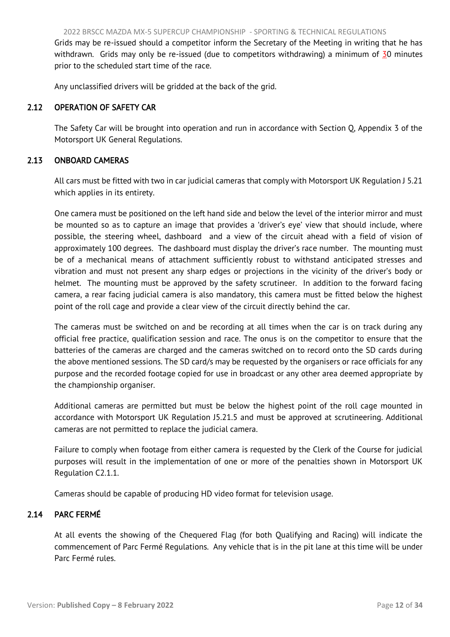<span id="page-12-3"></span>Grids may be re-issued should a competitor inform the Secretary of the Meeting in writing that he has withdrawn. Grids may only be re-issued (due to competitors withdrawing) a minimum of 30 minutes prior to the scheduled start time of the race.

<span id="page-12-0"></span>Any unclassified drivers will be gridded at the back of the grid.

# 2.12 OPERATION OF SAFETY CAR

<span id="page-12-1"></span>The Safety Car will be brought into operation and run in accordance with Section Q, Appendix 3 of the Motorsport UK General Regulations.

# 2.13 ONBOARD CAMERAS

All cars must be fitted with two in car judicial cameras that comply with Motorsport UK Regulation J 5.21 which applies in its entirety.

One camera must be positioned on the left hand side and below the level of the interior mirror and must be mounted so as to capture an image that provides a 'driver's eye' view that should include, where possible, the steering wheel, dashboard and a view of the circuit ahead with a field of vision of approximately 100 degrees. The dashboard must display the driver's race number. The mounting must be of a mechanical means of attachment sufficiently robust to withstand anticipated stresses and vibration and must not present any sharp edges or projections in the vicinity of the driver's body or helmet. The mounting must be approved by the safety scrutineer. In addition to the forward facing camera, a rear facing judicial camera is also mandatory, this camera must be fitted below the highest point of the roll cage and provide a clear view of the circuit directly behind the car.

The cameras must be switched on and be recording at all times when the car is on track during any official free practice, qualification session and race. The onus is on the competitor to ensure that the batteries of the cameras are charged and the cameras switched on to record onto the SD cards during the above mentioned sessions. The SD card/s may be requested by the organisers or race officials for any purpose and the recorded footage copied for use in broadcast or any other area deemed appropriate by the championship organiser.

Additional cameras are permitted but must be below the highest point of the roll cage mounted in accordance with Motorsport UK Regulation J5.21.5 and must be approved at scrutineering. Additional cameras are not permitted to replace the judicial camera.

Failure to comply when footage from either camera is requested by the Clerk of the Course for judicial purposes will result in the implementation of one or more of the penalties shown in Motorsport UK Regulation C2.1.1.

<span id="page-12-2"></span>Cameras should be capable of producing HD video format for television usage.

# 2.14 PARC FERMÉ

At all events the showing of the Chequered Flag (for both Qualifying and Racing) will indicate the commencement of Parc Fermé Regulations. Any vehicle that is in the pit lane at this time will be under Parc Fermé rules.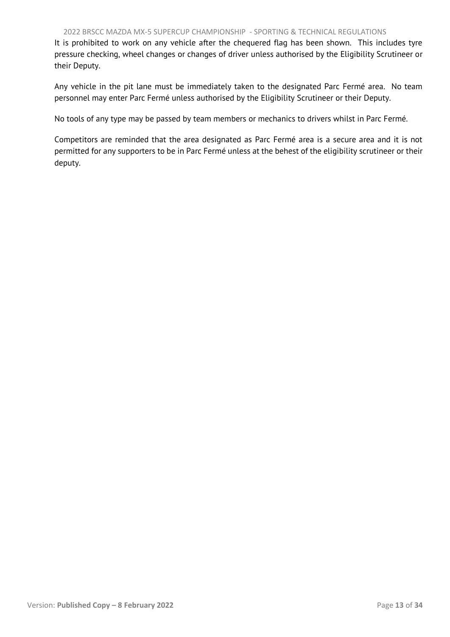#### 2022 BRSCC MAZDA MX-5 SUPERCUP CHAMPIONSHIP - SPORTING & TECHNICAL REGULATIONS

It is prohibited to work on any vehicle after the chequered flag has been shown. This includes tyre pressure checking, wheel changes or changes of driver unless authorised by the Eligibility Scrutineer or their Deputy.

Any vehicle in the pit lane must be immediately taken to the designated Parc Fermé area. No team personnel may enter Parc Fermé unless authorised by the Eligibility Scrutineer or their Deputy.

No tools of any type may be passed by team members or mechanics to drivers whilst in Parc Fermé.

Competitors are reminded that the area designated as Parc Fermé area is a secure area and it is not permitted for any supporters to be in Parc Fermé unless at the behest of the eligibility scrutineer or their deputy.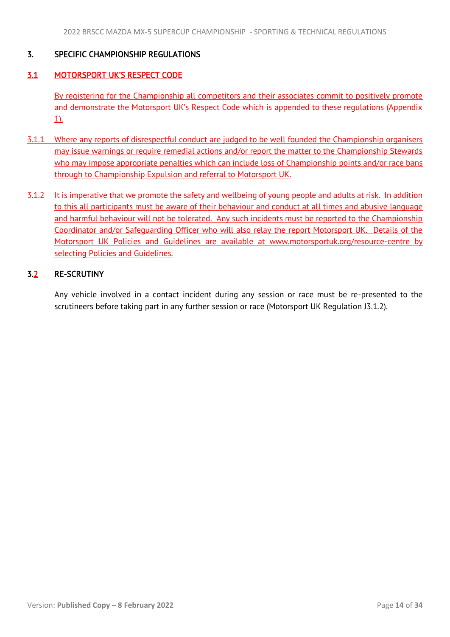# <span id="page-14-3"></span><span id="page-14-0"></span>3. SPECIFIC CHAMPIONSHIP REGULATIONS

# <span id="page-14-1"></span>3.1 MOTORSPORT UK'S RESPECT CODE

By registering for the Championship all competitors and their associates commit to positively promote and demonstrate the Motorsport UK's Respect Code which is appended to these regulations (Appendix 1).

- 3.1.1 Where any reports of disrespectful conduct are judged to be well founded the Championship organisers may issue warnings or require remedial actions and/or report the matter to the Championship Stewards who may impose appropriate penalties which can include loss of Championship points and/or race bans through to Championship Expulsion and referral to Motorsport UK.
- 3.1.2 It is imperative that we promote the safety and wellbeing of young people and adults at risk. In addition to this all participants must be aware of their behaviour and conduct at all times and abusive language and harmful behaviour will not be tolerated. Any such incidents must be reported to the Championship Coordinator and/or Safeguarding Officer who will also relay the report Motorsport UK. Details of the Motorsport UK Policies and Guidelines are available at www.motorsportuk.org/resource-centre by selecting Policies and Guidelines.

# <span id="page-14-2"></span>3.2 RE-SCRUTINY

Any vehicle involved in a contact incident during any session or race must be re-presented to the scrutineers before taking part in any further session or race (Motorsport UK Regulation J3.1.2).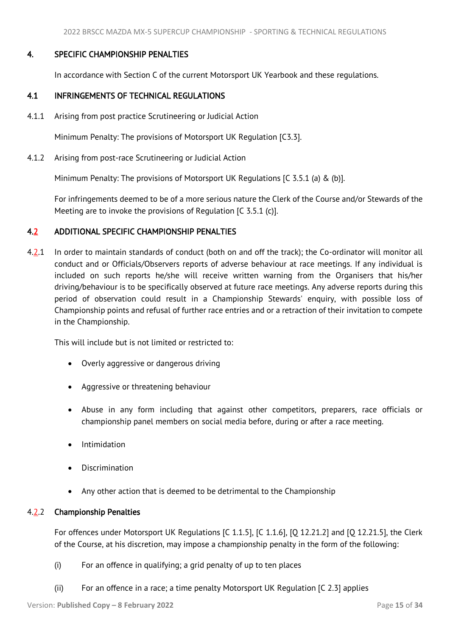# <span id="page-15-3"></span>4. SPECIFIC CHAMPIONSHIP PENALTIES

<span id="page-15-1"></span><span id="page-15-0"></span>In accordance with Section C of the current Motorsport UK Yearbook and these regulations.

# 4.1 INFRINGEMENTS OF TECHNICAL REGULATIONS

4.1.1 Arising from post practice Scrutineering or Judicial Action

Minimum Penalty: The provisions of Motorsport UK Regulation [C3.3].

4.1.2 Arising from post-race Scrutineering or Judicial Action

Minimum Penalty: The provisions of Motorsport UK Regulations [C 3.5.1 (a) & (b)].

For infringements deemed to be of a more serious nature the Clerk of the Course and/or Stewards of the Meeting are to invoke the provisions of Regulation [C 3.5.1 (c)].

# <span id="page-15-2"></span>4.2 ADDITIONAL SPECIFIC CHAMPIONSHIP PENALTIES

4.2.1 In order to maintain standards of conduct (both on and off the track); the Co-ordinator will monitor all conduct and or Officials/Observers reports of adverse behaviour at race meetings. If any individual is included on such reports he/she will receive written warning from the Organisers that his/her driving/behaviour is to be specifically observed at future race meetings. Any adverse reports during this period of observation could result in a Championship Stewards' enquiry, with possible loss of Championship points and refusal of further race entries and or a retraction of their invitation to compete in the Championship.

This will include but is not limited or restricted to:

- Overly aggressive or dangerous driving
- Aggressive or threatening behaviour
- Abuse in any form including that against other competitors, preparers, race officials or championship panel members on social media before, during or after a race meeting.
- Intimidation
- Discrimination
- Any other action that is deemed to be detrimental to the Championship

# 4.2.2 Championship Penalties

For offences under Motorsport UK Regulations [C 1.1.5], [C 1.1.6], [Q 12.21.2] and [Q 12.21.5], the Clerk of the Course, at his discretion, may impose a championship penalty in the form of the following:

- (i) For an offence in qualifying; a grid penalty of up to ten places
- (ii) For an offence in a race; a time penalty Motorsport UK Regulation [C 2.3] applies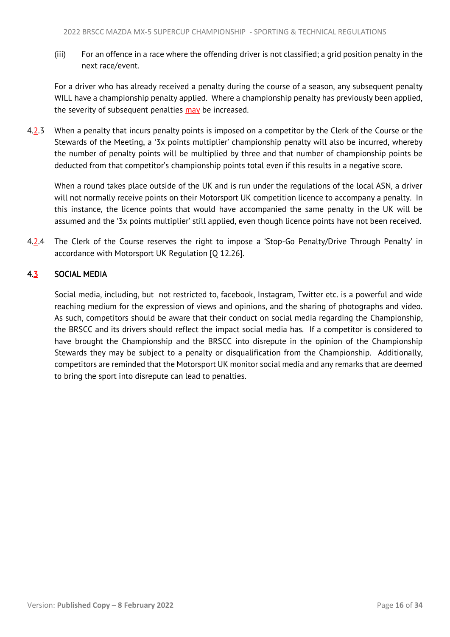<span id="page-16-1"></span>(iii) For an offence in a race where the offending driver is not classified; a grid position penalty in the next race/event.

For a driver who has already received a penalty during the course of a season, any subsequent penalty WILL have a championship penalty applied. Where a championship penalty has previously been applied, the severity of subsequent penalties may be increased.

4.2.3 When a penalty that incurs penalty points is imposed on a competitor by the Clerk of the Course or the Stewards of the Meeting, a '3x points multiplier' championship penalty will also be incurred, whereby the number of penalty points will be multiplied by three and that number of championship points be deducted from that competitor's championship points total even if this results in a negative score.

<span id="page-16-0"></span>When a round takes place outside of the UK and is run under the regulations of the local ASN, a driver will not normally receive points on their Motorsport UK competition licence to accompany a penalty. In this instance, the licence points that would have accompanied the same penalty in the UK will be assumed and the '3x points multiplier' still applied, even though licence points have not been received.

4.2.4 The Clerk of the Course reserves the right to impose a 'Stop-Go Penalty/Drive Through Penalty' in accordance with Motorsport UK Regulation [Q 12.26].

# 4.3 SOCIAL MEDIA

Social media, including, but not restricted to, facebook, Instagram, Twitter etc. is a powerful and wide reaching medium for the expression of views and opinions, and the sharing of photographs and video. As such, competitors should be aware that their conduct on social media regarding the Championship, the BRSCC and its drivers should reflect the impact social media has. If a competitor is considered to have brought the Championship and the BRSCC into disrepute in the opinion of the Championship Stewards they may be subject to a penalty or disqualification from the Championship. Additionally, competitors are reminded that the Motorsport UK monitor social media and any remarks that are deemed to bring the sport into disrepute can lead to penalties.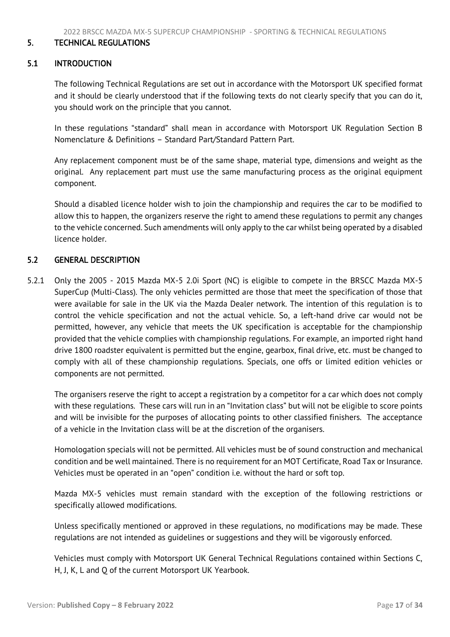#### <span id="page-17-3"></span><span id="page-17-0"></span>5. TECHNICAL REGULATIONS

#### <span id="page-17-1"></span>5.1 INTRODUCTION

 The following Technical Regulations are set out in accordance with the Motorsport UK specified format and it should be clearly understood that if the following texts do not clearly specify that you can do it, you should work on the principle that you cannot.

In these regulations "standard" shall mean in accordance with Motorsport UK Regulation Section B Nomenclature & Definitions – Standard Part/Standard Pattern Part.

Any replacement component must be of the same shape, material type, dimensions and weight as the original. Any replacement part must use the same manufacturing process as the original equipment component.

Should a disabled licence holder wish to join the championship and requires the car to be modified to allow this to happen, the organizers reserve the right to amend these regulations to permit any changes to the vehicle concerned. Such amendments will only apply to the car whilst being operated by a disabled licence holder.

#### <span id="page-17-2"></span>5.2 GENERAL DESCRIPTION

5.2.1 Only the 2005 - 2015 Mazda MX-5 2.0i Sport (NC) is eligible to compete in the BRSCC Mazda MX-5 SuperCup (Multi-Class). The only vehicles permitted are those that meet the specification of those that were available for sale in the UK via the Mazda Dealer network. The intention of this regulation is to control the vehicle specification and not the actual vehicle. So, a left-hand drive car would not be permitted, however, any vehicle that meets the UK specification is acceptable for the championship provided that the vehicle complies with championship regulations. For example, an imported right hand drive 1800 roadster equivalent is permitted but the engine, gearbox, final drive, etc. must be changed to comply with all of these championship regulations. Specials, one offs or limited edition vehicles or components are not permitted.

The organisers reserve the right to accept a registration by a competitor for a car which does not comply with these regulations. These cars will run in an "Invitation class" but will not be eligible to score points and will be invisible for the purposes of allocating points to other classified finishers. The acceptance of a vehicle in the Invitation class will be at the discretion of the organisers.

Homologation specials will not be permitted. All vehicles must be of sound construction and mechanical condition and be well maintained. There is no requirement for an MOT Certificate, Road Tax or Insurance. Vehicles must be operated in an "open" condition i.e. without the hard or soft top.

Mazda MX-5 vehicles must remain standard with the exception of the following restrictions or specifically allowed modifications.

Unless specifically mentioned or approved in these regulations, no modifications may be made. These regulations are not intended as guidelines or suggestions and they will be vigorously enforced.

Vehicles must comply with Motorsport UK General Technical Regulations contained within Sections C, H, J, K, L and Q of the current Motorsport UK Yearbook.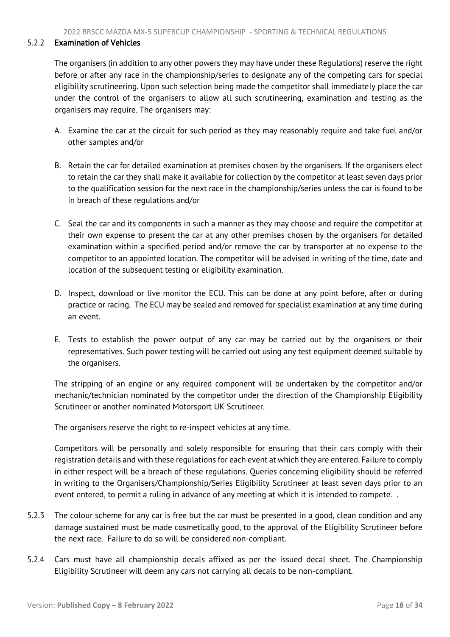# 5.2.2 Examination of Vehicles

The organisers (in addition to any other powers they may have under these Regulations) reserve the right before or after any race in the championship/series to designate any of the competing cars for special eligibility scrutineering. Upon such selection being made the competitor shall immediately place the car under the control of the organisers to allow all such scrutineering, examination and testing as the organisers may require. The organisers may:

- A. Examine the car at the circuit for such period as they may reasonably require and take fuel and/or other samples and/or
- B. Retain the car for detailed examination at premises chosen by the organisers. If the organisers elect to retain the car they shall make it available for collection by the competitor at least seven days prior to the qualification session for the next race in the championship/series unless the car is found to be in breach of these regulations and/or
- C. Seal the car and its components in such a manner as they may choose and require the competitor at their own expense to present the car at any other premises chosen by the organisers for detailed examination within a specified period and/or remove the car by transporter at no expense to the competitor to an appointed location. The competitor will be advised in writing of the time, date and location of the subsequent testing or eligibility examination.
- D. Inspect, download or live monitor the ECU. This can be done at any point before, after or during practice or racing. The ECU may be sealed and removed for specialist examination at any time during an event.
- E. Tests to establish the power output of any car may be carried out by the organisers or their representatives. Such power testing will be carried out using any test equipment deemed suitable by the organisers.

The stripping of an engine or any required component will be undertaken by the competitor and/or mechanic/technician nominated by the competitor under the direction of the Championship Eligibility Scrutineer or another nominated Motorsport UK Scrutineer.

The organisers reserve the right to re-inspect vehicles at any time.

Competitors will be personally and solely responsible for ensuring that their cars comply with their registration details and with these regulations for each event at which they are entered. Failure to comply in either respect will be a breach of these regulations. Queries concerning eligibility should be referred in writing to the Organisers/Championship/Series Eligibility Scrutineer at least seven days prior to an event entered, to permit a ruling in advance of any meeting at which it is intended to compete. .

- 5.2.3 The colour scheme for any car is free but the car must be presented in a good, clean condition and any damage sustained must be made cosmetically good, to the approval of the Eligibility Scrutineer before the next race. Failure to do so will be considered non-compliant.
- 5.2.4 Cars must have all championship decals affixed as per the issued decal sheet. The Championship Eligibility Scrutineer will deem any cars not carrying all decals to be non-compliant.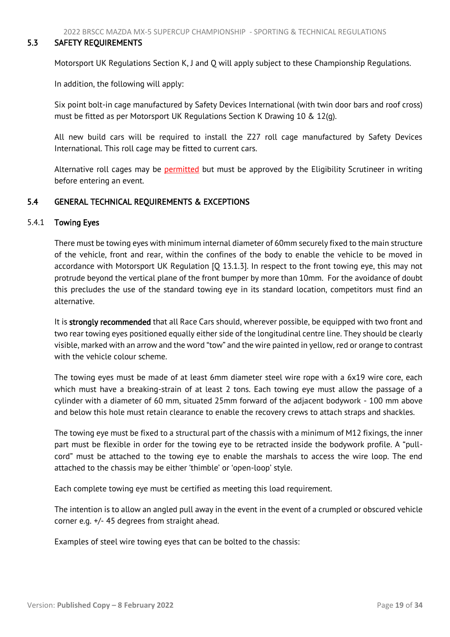# <span id="page-19-2"></span>5.3 SAFETY REQUIREMENTS

<span id="page-19-0"></span>Motorsport UK Regulations Section K, J and Q will apply subject to these Championship Regulations.

In addition, the following will apply:

Six point bolt-in cage manufactured by Safety Devices International (with twin door bars and roof cross) must be fitted as per Motorsport UK Regulations Section K Drawing 10 & 12(g).

All new build cars will be required to install the Z27 roll cage manufactured by Safety Devices International. This roll cage may be fitted to current cars.

<span id="page-19-1"></span>Alternative roll cages may be permitted but must be approved by the Eligibility Scrutineer in writing before entering an event.

# 5.4 GENERAL TECHNICAL REQUIREMENTS & EXCEPTIONS

#### 5.4.1 Towing Eyes

There must be towing eyes with minimum internal diameter of 60mm securely fixed to the main structure of the vehicle, front and rear, within the confines of the body to enable the vehicle to be moved in accordance with Motorsport UK Regulation [Q 13.1.3]. In respect to the front towing eye, this may not protrude beyond the vertical plane of the front bumper by more than 10mm. For the avoidance of doubt this precludes the use of the standard towing eye in its standard location, competitors must find an alternative.

It is strongly recommended that all Race Cars should, wherever possible, be equipped with two front and two rear towing eyes positioned equally either side of the longitudinal centre line. They should be clearly visible, marked with an arrow and the word "tow" and the wire painted in yellow, red or orange to contrast with the vehicle colour scheme.

The towing eyes must be made of at least 6mm diameter steel wire rope with a 6x19 wire core, each which must have a breaking-strain of at least 2 tons. Each towing eye must allow the passage of a cylinder with a diameter of 60 mm, situated 25mm forward of the adjacent bodywork - 100 mm above and below this hole must retain clearance to enable the recovery crews to attach straps and shackles.

The towing eye must be fixed to a structural part of the chassis with a minimum of M12 fixings, the inner part must be flexible in order for the towing eye to be retracted inside the bodywork profile. A "pullcord" must be attached to the towing eye to enable the marshals to access the wire loop. The end attached to the chassis may be either 'thimble' or 'open-loop' style.

Each complete towing eye must be certified as meeting this load requirement.

The intention is to allow an angled pull away in the event in the event of a crumpled or obscured vehicle corner e.g. +/- 45 degrees from straight ahead.

Examples of steel wire towing eyes that can be bolted to the chassis: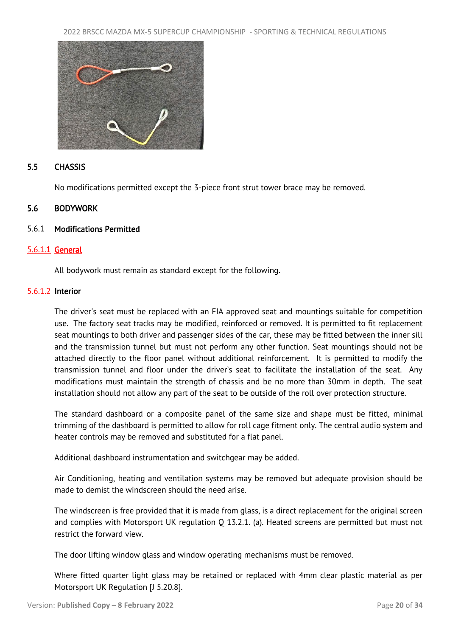<span id="page-20-2"></span>

# <span id="page-20-0"></span>5.5 CHASSIS

<span id="page-20-1"></span>No modifications permitted except the 3-piece front strut tower brace may be removed.

#### 5.6 BODYWORK

#### 5.6.1 Modifications Permitted

#### 5.6.1.1 General

All bodywork must remain as standard except for the following.

#### 5.6.1.2 Interior

The driver's seat must be replaced with an FIA approved seat and mountings suitable for competition use. The factory seat tracks may be modified, reinforced or removed. It is permitted to fit replacement seat mountings to both driver and passenger sides of the car, these may be fitted between the inner sill and the transmission tunnel but must not perform any other function. Seat mountings should not be attached directly to the floor panel without additional reinforcement. It is permitted to modify the transmission tunnel and floor under the driver's seat to facilitate the installation of the seat. Any modifications must maintain the strength of chassis and be no more than 30mm in depth. The seat installation should not allow any part of the seat to be outside of the roll over protection structure.

The standard dashboard or a composite panel of the same size and shape must be fitted, minimal trimming of the dashboard is permitted to allow for roll cage fitment only. The central audio system and heater controls may be removed and substituted for a flat panel.

Additional dashboard instrumentation and switchgear may be added.

Air Conditioning, heating and ventilation systems may be removed but adequate provision should be made to demist the windscreen should the need arise.

The windscreen is free provided that it is made from glass, is a direct replacement for the original screen and complies with Motorsport UK regulation Q 13.2.1. (a). Heated screens are permitted but must not restrict the forward view.

The door lifting window glass and window operating mechanisms must be removed.

Where fitted quarter light glass may be retained or replaced with 4mm clear plastic material as per Motorsport UK Regulation [J 5.20.8].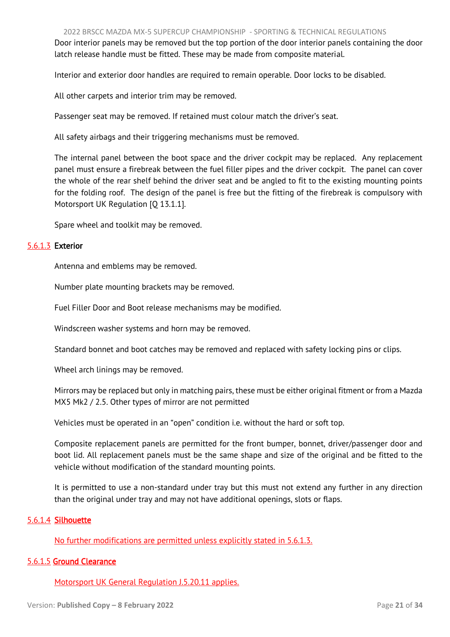Door interior panels may be removed but the top portion of the door interior panels containing the door latch release handle must be fitted. These may be made from composite material.

Interior and exterior door handles are required to remain operable. Door locks to be disabled.

All other carpets and interior trim may be removed.

Passenger seat may be removed. If retained must colour match the driver's seat.

All safety airbags and their triggering mechanisms must be removed.

The internal panel between the boot space and the driver cockpit may be replaced. Any replacement panel must ensure a firebreak between the fuel filler pipes and the driver cockpit. The panel can cover the whole of the rear shelf behind the driver seat and be angled to fit to the existing mounting points for the folding roof. The design of the panel is free but the fitting of the firebreak is compulsory with Motorsport UK Regulation [O 13.1.1].

Spare wheel and toolkit may be removed.

# 5.6.1.3 Exterior

Antenna and emblems may be removed.

Number plate mounting brackets may be removed.

Fuel Filler Door and Boot release mechanisms may be modified.

Windscreen washer systems and horn may be removed.

Standard bonnet and boot catches may be removed and replaced with safety locking pins or clips.

Wheel arch linings may be removed.

Mirrors may be replaced but only in matching pairs, these must be either original fitment or from a Mazda MX5 Mk2 / 2.5. Other types of mirror are not permitted

Vehicles must be operated in an "open" condition i.e. without the hard or soft top.

Composite replacement panels are permitted for the front bumper, bonnet, driver/passenger door and boot lid. All replacement panels must be the same shape and size of the original and be fitted to the vehicle without modification of the standard mounting points.

It is permitted to use a non-standard under tray but this must not extend any further in any direction than the original under tray and may not have additional openings, slots or flaps.

# 5.6.1.4 Silhouette

No further modifications are permitted unless explicitly stated in 5.6.1.3.

# 5.6.1.5 Ground Clearance

Motorsport UK General Regulation J.5.20.11 applies.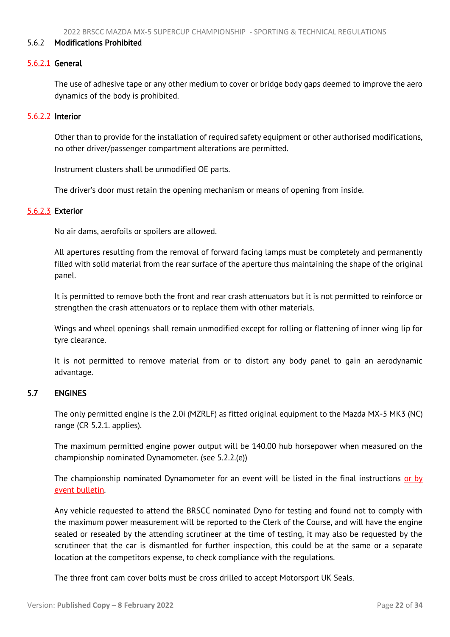#### <span id="page-22-1"></span>5.6.2 Modifications Prohibited

#### 5.6.2.1 General

The use of adhesive tape or any other medium to cover or bridge body gaps deemed to improve the aero dynamics of the body is prohibited.

#### 5.6.2.2 Interior

Other than to provide for the installation of required safety equipment or other authorised modifications, no other driver/passenger compartment alterations are permitted.

Instrument clusters shall be unmodified OE parts.

The driver's door must retain the opening mechanism or means of opening from inside.

#### 5.6.2.3 Exterior

No air dams, aerofoils or spoilers are allowed.

All apertures resulting from the removal of forward facing lamps must be completely and permanently filled with solid material from the rear surface of the aperture thus maintaining the shape of the original panel.

It is permitted to remove both the front and rear crash attenuators but it is not permitted to reinforce or strengthen the crash attenuators or to replace them with other materials.

Wings and wheel openings shall remain unmodified except for rolling or flattening of inner wing lip for tyre clearance.

<span id="page-22-0"></span>It is not permitted to remove material from or to distort any body panel to gain an aerodynamic advantage.

# 5.7 ENGINES

The only permitted engine is the 2.0i (MZRLF) as fitted original equipment to the Mazda MX-5 MK3 (NC) range (CR 5.2.1. applies).

The maximum permitted engine power output will be 140.00 hub horsepower when measured on the championship nominated Dynamometer. (see 5.2.2.(e))

The championship nominated Dynamometer for an event will be listed in the final instructions or by event bulletin.

Any vehicle requested to attend the BRSCC nominated Dyno for testing and found not to comply with the maximum power measurement will be reported to the Clerk of the Course, and will have the engine sealed or resealed by the attending scrutineer at the time of testing, it may also be requested by the scrutineer that the car is dismantled for further inspection, this could be at the same or a separate location at the competitors expense, to check compliance with the regulations.

The three front cam cover bolts must be cross drilled to accept Motorsport UK Seals.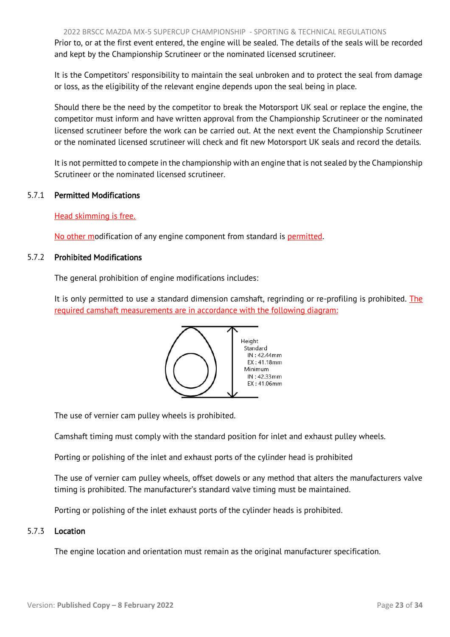Prior to, or at the first event entered, the engine will be sealed. The details of the seals will be recorded and kept by the Championship Scrutineer or the nominated licensed scrutineer.

It is the Competitors' responsibility to maintain the seal unbroken and to protect the seal from damage or loss, as the eligibility of the relevant engine depends upon the seal being in place.

Should there be the need by the competitor to break the Motorsport UK seal or replace the engine, the competitor must inform and have written approval from the Championship Scrutineer or the nominated licensed scrutineer before the work can be carried out. At the next event the Championship Scrutineer or the nominated licensed scrutineer will check and fit new Motorsport UK seals and record the details.

It is not permitted to compete in the championship with an engine that is not sealed by the Championship Scrutineer or the nominated licensed scrutineer.

# 5.7.1 Permitted Modifications

# Head skimming is free.

No other modification of any engine component from standard is permitted.

#### 5.7.2 Prohibited Modifications

The general prohibition of engine modifications includes:

It is only permitted to use a standard dimension camshaft, regrinding or re-profiling is prohibited. The required camshaft measurements are in accordance with the following diagram:



The use of vernier cam pulley wheels is prohibited.

Camshaft timing must comply with the standard position for inlet and exhaust pulley wheels.

Porting or polishing of the inlet and exhaust ports of the cylinder head is prohibited

The use of vernier cam pulley wheels, offset dowels or any method that alters the manufacturers valve timing is prohibited. The manufacturer's standard valve timing must be maintained.

Porting or polishing of the inlet exhaust ports of the cylinder heads is prohibited.

#### 5.7.3 Location

The engine location and orientation must remain as the original manufacturer specification.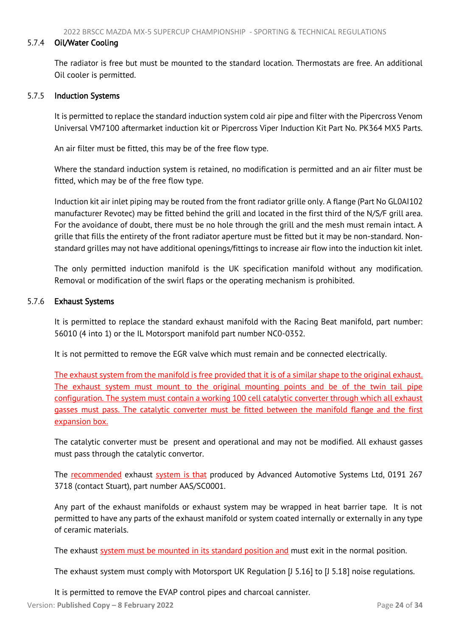#### 5.7.4 Oil/Water Cooling

The radiator is free but must be mounted to the standard location. Thermostats are free. An additional Oil cooler is permitted.

#### 5.7.5 Induction Systems

It is permitted to replace the standard induction system cold air pipe and filter with the Pipercross Venom Universal VM7100 aftermarket induction kit or Pipercross Viper Induction Kit Part No. PK364 MX5 Parts.

An air filter must be fitted, this may be of the free flow type.

Where the standard induction system is retained, no modification is permitted and an air filter must be fitted, which may be of the free flow type.

Induction kit air inlet piping may be routed from the front radiator grille only. A flange (Part No GL0AI102 manufacturer Revotec) may be fitted behind the grill and located in the first third of the N/S/F grill area. For the avoidance of doubt, there must be no hole through the grill and the mesh must remain intact. A grille that fills the entirety of the front radiator aperture must be fitted but it may be non-standard. Nonstandard grilles may not have additional openings/fittings to increase air flow into the induction kit inlet.

The only permitted induction manifold is the UK specification manifold without any modification. Removal or modification of the swirl flaps or the operating mechanism is prohibited.

# 5.7.6 Exhaust Systems

It is permitted to replace the standard exhaust manifold with the Racing Beat manifold, part number: 56010 (4 into 1) or the IL Motorsport manifold part number NC0-0352.

It is not permitted to remove the EGR valve which must remain and be connected electrically.

The exhaust system from the manifold is free provided that it is of a similar shape to the original exhaust. The exhaust system must mount to the original mounting points and be of the twin tail pipe configuration. The system must contain a working 100 cell catalytic converter through which all exhaust gasses must pass. The catalytic converter must be fitted between the manifold flange and the first expansion box.

The catalytic converter must be present and operational and may not be modified. All exhaust gasses must pass through the catalytic convertor.

The recommended exhaust system is that produced by Advanced Automotive Systems Ltd, 0191 267 3718 (contact Stuart), part number AAS/SC0001.

Any part of the exhaust manifolds or exhaust system may be wrapped in heat barrier tape. It is not permitted to have any parts of the exhaust manifold or system coated internally or externally in any type of ceramic materials.

The exhaust system must be mounted in its standard position and must exit in the normal position.

The exhaust system must comply with Motorsport UK Regulation [J 5.16] to [J 5.18] noise regulations.

It is permitted to remove the EVAP control pipes and charcoal cannister.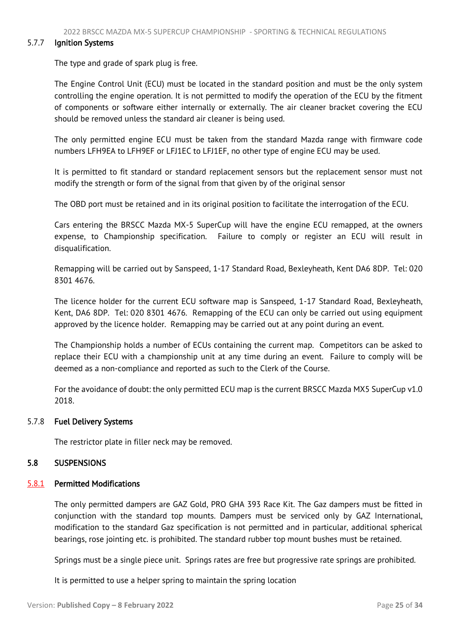#### <span id="page-25-1"></span>5.7.7 Ignition Systems

The type and grade of spark plug is free.

The Engine Control Unit (ECU) must be located in the standard position and must be the only system controlling the engine operation. It is not permitted to modify the operation of the ECU by the fitment of components or software either internally or externally. The air cleaner bracket covering the ECU should be removed unless the standard air cleaner is being used.

The only permitted engine ECU must be taken from the standard Mazda range with firmware code numbers LFH9EA to LFH9EF or LFJ1EC to LFJ1EF, no other type of engine ECU may be used.

It is permitted to fit standard or standard replacement sensors but the replacement sensor must not modify the strength or form of the signal from that given by of the original sensor

The OBD port must be retained and in its original position to facilitate the interrogation of the ECU.

Cars entering the BRSCC Mazda MX-5 SuperCup will have the engine ECU remapped, at the owners expense, to Championship specification. Failure to comply or register an ECU will result in disqualification.

Remapping will be carried out by Sanspeed, 1-17 Standard Road, Bexleyheath, Kent DA6 8DP. Tel: 020 8301 4676.

The licence holder for the current ECU software map is Sanspeed, 1-17 Standard Road, Bexleyheath, Kent, DA6 8DP. Tel: 020 8301 4676. Remapping of the ECU can only be carried out using equipment approved by the licence holder. Remapping may be carried out at any point during an event.

The Championship holds a number of ECUs containing the current map. Competitors can be asked to replace their ECU with a championship unit at any time during an event. Failure to comply will be deemed as a non-compliance and reported as such to the Clerk of the Course.

For the avoidance of doubt: the only permitted ECU map is the current BRSCC Mazda MX5 SuperCup v1.0 2018.

#### 5.7.8 Fuel Delivery Systems

<span id="page-25-0"></span>The restrictor plate in filler neck may be removed.

# 5.8 SUSPENSIONS

#### 5.8.1 Permitted Modifications

The only permitted dampers are GAZ Gold, PRO GHA 393 Race Kit. The Gaz dampers must be fitted in conjunction with the standard top mounts. Dampers must be serviced only by GAZ International, modification to the standard Gaz specification is not permitted and in particular, additional spherical bearings, rose jointing etc. is prohibited. The standard rubber top mount bushes must be retained.

Springs must be a single piece unit. Springs rates are free but progressive rate springs are prohibited.

It is permitted to use a helper spring to maintain the spring location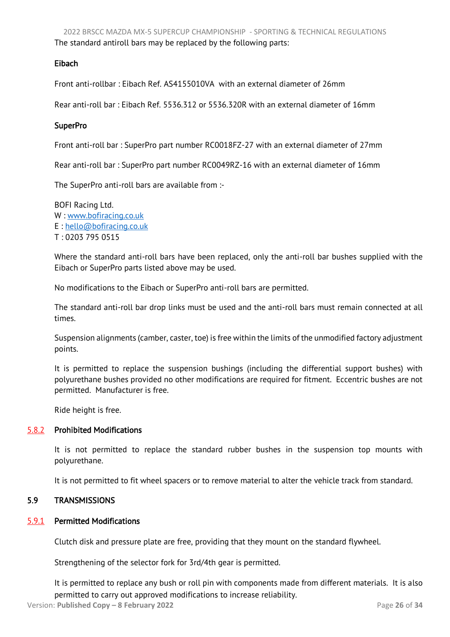# <span id="page-26-1"></span>Eibach

Front anti-rollbar : Eibach Ref. AS4155010VA with an external diameter of 26mm

Rear anti-roll bar : Eibach Ref. 5536.312 or 5536.320R with an external diameter of 16mm

# **SuperPro**

Front anti-roll bar : SuperPro part number RC0018FZ-27 with an external diameter of 27mm

Rear anti-roll bar : SuperPro part number RC0049RZ-16 with an external diameter of 16mm

The SuperPro anti-roll bars are available from :-

BOFI Racing Ltd. W : [www.bofiracing.co.uk](http://www.bofiracing.co.uk/) E : [hello@bofiracing.co.uk](mailto:hello@bofiracing.co.uk) T : 0203 795 0515

Where the standard anti-roll bars have been replaced, only the anti-roll bar bushes supplied with the Eibach or SuperPro parts listed above may be used.

No modifications to the Eibach or SuperPro anti-roll bars are permitted.

The standard anti-roll bar drop links must be used and the anti-roll bars must remain connected at all times.

Suspension alignments (camber, caster, toe) is free within the limits of the unmodified factory adjustment points.

It is permitted to replace the suspension bushings (including the differential support bushes) with polyurethane bushes provided no other modifications are required for fitment. Eccentric bushes are not permitted. Manufacturer is free.

Ride height is free.

# 5.8.2 Prohibited Modifications

It is not permitted to replace the standard rubber bushes in the suspension top mounts with polyurethane.

It is not permitted to fit wheel spacers or to remove material to alter the vehicle track from standard.

# <span id="page-26-0"></span>5.9 TRANSMISSIONS

# 5.9.1 Permitted Modifications

Clutch disk and pressure plate are free, providing that they mount on the standard flywheel.

Strengthening of the selector fork for 3rd/4th gear is permitted.

It is permitted to replace any bush or roll pin with components made from different materials. It is also permitted to carry out approved modifications to increase reliability.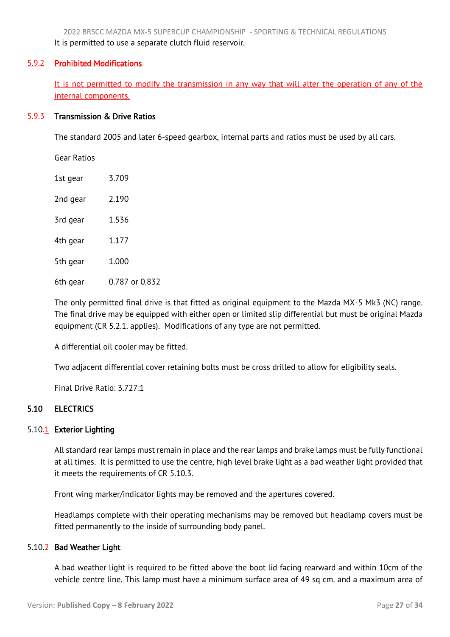<span id="page-27-1"></span>2022 BRSCC MAZDA MX-5 SUPERCUP CHAMPIONSHIP - SPORTING & TECHNICAL REGULATIONS It is permitted to use a separate clutch fluid reservoir.

# 5.9.2 Prohibited Modifications

It is not permitted to modify the transmission in any way that will alter the operation of any of the internal components.

# 5.9.3 Transmission & Drive Ratios

The standard 2005 and later 6-speed gearbox, internal parts and ratios must be used by all cars.

Gear Ratios

| 1st gear | 3.709          |
|----------|----------------|
| 2nd gear | 2.190          |
| 3rd gear | 1.536          |
| 4th gear | 1.177          |
| 5th gear | 1.000          |
| 6th gear | 0.787 or 0.832 |

The only permitted final drive is that fitted as original equipment to the Mazda MX-5 Mk3 (NC) range. The final drive may be equipped with either open or limited slip differential but must be original Mazda equipment (CR 5.2.1. applies). Modifications of any type are not permitted.

A differential oil cooler may be fitted.

Two adjacent differential cover retaining bolts must be cross drilled to allow for eligibility seals.

<span id="page-27-0"></span>Final Drive Ratio: 3.727:1

# 5.10 ELECTRICS

# 5.10.<sup>1</sup> Exterior Lighting

All standard rear lamps must remain in place and the rear lamps and brake lamps must be fully functional at all times. It is permitted to use the centre, high level brake light as a bad weather light provided that it meets the requirements of CR 5.10.3.

Front wing marker/indicator lights may be removed and the apertures covered.

Headlamps complete with their operating mechanisms may be removed but headlamp covers must be fitted permanently to the inside of surrounding body panel.

# 5.10.2 Bad Weather Light

A bad weather light is required to be fitted above the boot lid facing rearward and within 10cm of the vehicle centre line. This lamp must have a minimum surface area of 49 sq cm. and a maximum area of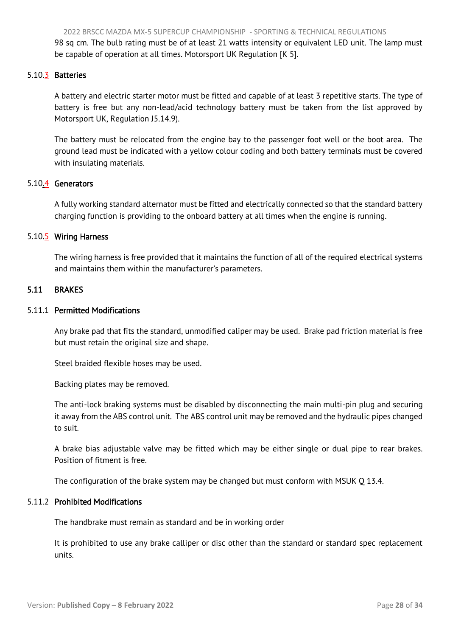<span id="page-28-1"></span>2022 BRSCC MAZDA MX-5 SUPERCUP CHAMPIONSHIP - SPORTING & TECHNICAL REGULATIONS 98 sq cm. The bulb rating must be of at least 21 watts intensity or equivalent LED unit. The lamp must

be capable of operation at all times. Motorsport UK Regulation [K 5].

#### 5.10.3 Batteries

A battery and electric starter motor must be fitted and capable of at least 3 repetitive starts. The type of battery is free but any non-lead/acid technology battery must be taken from the list approved by Motorsport UK, Regulation J5.14.9).

The battery must be relocated from the engine bay to the passenger foot well or the boot area. The ground lead must be indicated with a yellow colour coding and both battery terminals must be covered with insulating materials.

#### 5.10.4 Generators

A fully working standard alternator must be fitted and electrically connected so that the standard battery charging function is providing to the onboard battery at all times when the engine is running.

#### 5.10.5 Wiring Harness

<span id="page-28-0"></span>The wiring harness is free provided that it maintains the function of all of the required electrical systems and maintains them within the manufacturer's parameters.

#### 5.11 BRAKES

# 5.11.1 Permitted Modifications

Any brake pad that fits the standard, unmodified caliper may be used. Brake pad friction material is free but must retain the original size and shape.

Steel braided flexible hoses may be used.

Backing plates may be removed.

The anti-lock braking systems must be disabled by disconnecting the main multi-pin plug and securing it away from the ABS control unit. The ABS control unit may be removed and the hydraulic pipes changed to suit.

A brake bias adjustable valve may be fitted which may be either single or dual pipe to rear brakes. Position of fitment is free.

The configuration of the brake system may be changed but must conform with MSUK Q 13.4.

#### 5.11.2 Prohibited Modifications

The handbrake must remain as standard and be in working order

It is prohibited to use any brake calliper or disc other than the standard or standard spec replacement units.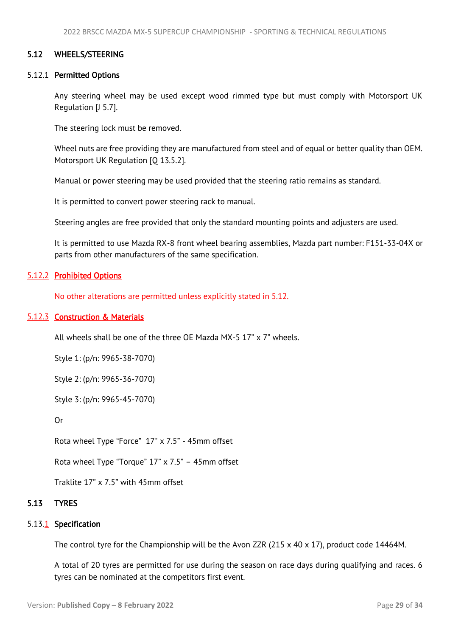#### <span id="page-29-2"></span><span id="page-29-0"></span>5.12 WHEELS/STEERING

#### 5.12.1 Permitted Options

Any steering wheel may be used except wood rimmed type but must comply with Motorsport UK Regulation [J 5.7].

The steering lock must be removed.

Wheel nuts are free providing they are manufactured from steel and of equal or better quality than OEM. Motorsport UK Regulation [Q 13.5.2].

Manual or power steering may be used provided that the steering ratio remains as standard.

It is permitted to convert power steering rack to manual.

Steering angles are free provided that only the standard mounting points and adjusters are used.

It is permitted to use Mazda RX-8 front wheel bearing assemblies, Mazda part number: F151-33-04X or parts from other manufacturers of the same specification.

#### 5.12.2 Prohibited Options

No other alterations are permitted unless explicitly stated in 5.12.

#### 5.12.3 Construction & Materials

All wheels shall be one of the three OE Mazda MX-5 17" x 7" wheels.

Style 1: (p/n: 9965-38-7070)

Style 2: (p/n: 9965-36-7070)

Style 3: (p/n: 9965-45-7070)

Or

Rota wheel Type "Force" 17" x 7.5" - 45mm offset

Rota wheel Type "Torque" 17" x 7.5" – 45mm offset

<span id="page-29-1"></span>Traklite 17" x 7.5" with 45mm offset

# 5.13 TYRES

#### 5.13.<sup>1</sup> Specification

The control tyre for the Championship will be the Avon ZZR (215 x 40 x 17), product code 14464M.

A total of 20 tyres are permitted for use during the season on race days during qualifying and races. 6 tyres can be nominated at the competitors first event.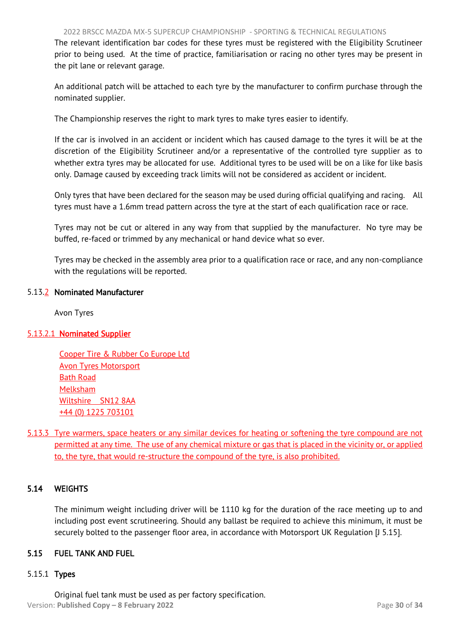<span id="page-30-2"></span>The relevant identification bar codes for these tyres must be registered with the Eligibility Scrutineer prior to being used. At the time of practice, familiarisation or racing no other tyres may be present in the pit lane or relevant garage.

An additional patch will be attached to each tyre by the manufacturer to confirm purchase through the nominated supplier.

The Championship reserves the right to mark tyres to make tyres easier to identify.

If the car is involved in an accident or incident which has caused damage to the tyres it will be at the discretion of the Eligibility Scrutineer and/or a representative of the controlled tyre supplier as to whether extra tyres may be allocated for use. Additional tyres to be used will be on a like for like basis only. Damage caused by exceeding track limits will not be considered as accident or incident.

Only tyres that have been declared for the season may be used during official qualifying and racing. All tyres must have a 1.6mm tread pattern across the tyre at the start of each qualification race or race.

Tyres may not be cut or altered in any way from that supplied by the manufacturer. No tyre may be buffed, re-faced or trimmed by any mechanical or hand device what so ever.

Tyres may be checked in the assembly area prior to a qualification race or race, and any non-compliance with the regulations will be reported.

# 5.13.2 Nominated Manufacturer

Avon Tyres

# 5.13.2.1 Nominated Supplier

Cooper Tire & Rubber Co Europe Ltd Avon Tyres Motorsport Bath Road Melksham Wiltshire SN12 8AA +44 (0) 1225 703101

5.13.3 Tyre warmers, space heaters or any similar devices for heating or softening the tyre compound are not permitted at any time. The use of any chemical mixture or gas that is placed in the vicinity or, or applied to, the tyre, that would re-structure the compound of the tyre, is also prohibited.

# 5.14 WEIGHTS

<span id="page-30-0"></span>The minimum weight including driver will be 1110 kg for the duration of the race meeting up to and including post event scrutineering. Should any ballast be required to achieve this minimum, it must be securely bolted to the passenger floor area, in accordance with Motorsport UK Regulation [J 5.15].

# <span id="page-30-1"></span>5.15 FUEL TANK AND FUEL

# 5.15.1 Types

Version: **Published Copy – 8 February 2022** Page **30** of **34** Original fuel tank must be used as per factory specification.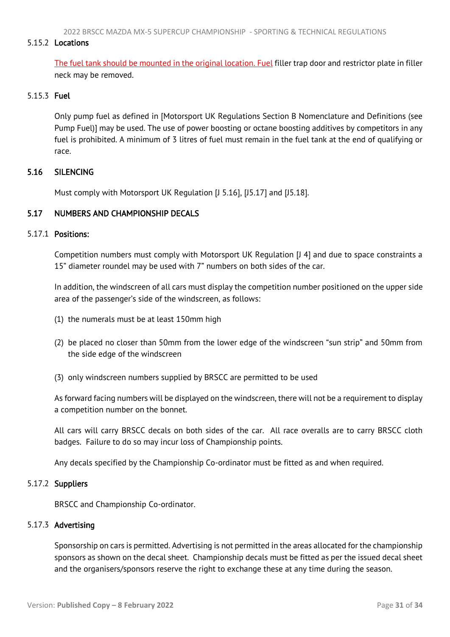2022 BRSCC MAZDA MX-5 SUPERCUP CHAMPIONSHIP - SPORTING & TECHNICAL REGULATIONS

# <span id="page-31-2"></span>5.15.2 Locations

The fuel tank should be mounted in the original location. Fuel filler trap door and restrictor plate in filler neck may be removed.

# 5.15.3 Fuel

Only pump fuel as defined in [Motorsport UK Regulations Section B Nomenclature and Definitions (see Pump Fuel)] may be used. The use of power boosting or octane boosting additives by competitors in any fuel is prohibited. A minimum of 3 litres of fuel must remain in the fuel tank at the end of qualifying or race.

# <span id="page-31-0"></span>5.16 SILENCING

<span id="page-31-1"></span>Must comply with Motorsport UK Regulation [J 5.16], [J5.17] and [J5.18].

# 5.17 NUMBERS AND CHAMPIONSHIP DECALS

#### 5.17.1 Positions:

Competition numbers must comply with Motorsport UK Regulation [J 4] and due to space constraints a 15" diameter roundel may be used with 7" numbers on both sides of the car.

In addition, the windscreen of all cars must display the competition number positioned on the upper side area of the passenger's side of the windscreen, as follows:

- (1) the numerals must be at least 150mm high
- (2) be placed no closer than 50mm from the lower edge of the windscreen "sun strip" and 50mm from the side edge of the windscreen
- (3) only windscreen numbers supplied by BRSCC are permitted to be used

As forward facing numbers will be displayed on the windscreen, there will not be a requirement to display a competition number on the bonnet.

All cars will carry BRSCC decals on both sides of the car. All race overalls are to carry BRSCC cloth badges. Failure to do so may incur loss of Championship points.

Any decals specified by the Championship Co-ordinator must be fitted as and when required.

# 5.17.2 Suppliers

BRSCC and Championship Co-ordinator.

# 5.17.3 Advertising

Sponsorship on cars is permitted. Advertising is not permitted in the areas allocated for the championship sponsors as shown on the decal sheet. Championship decals must be fitted as per the issued decal sheet and the organisers/sponsors reserve the right to exchange these at any time during the season.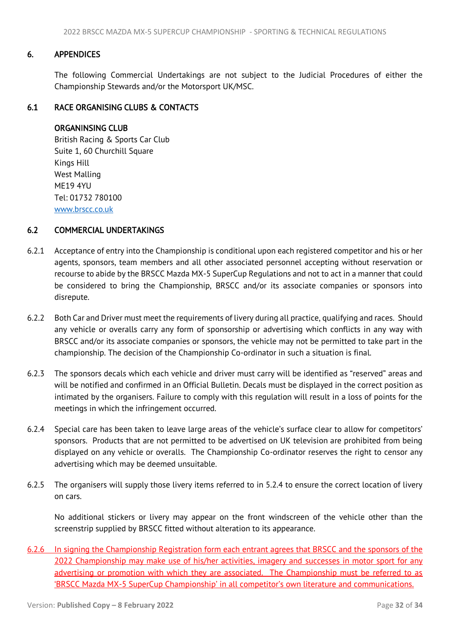# <span id="page-32-3"></span>6. APPENDICES

<span id="page-32-1"></span><span id="page-32-0"></span>The following Commercial Undertakings are not subject to the Judicial Procedures of either the Championship Stewards and/or the Motorsport UK/MSC.

# 6.1 RACE ORGANISING CLUBS & CONTACTS

# ORGANINSING CLUB

 British Racing & Sports Car Club Suite 1, 60 Churchill Square Kings Hill West Malling ME19 4YU Tel: 01732 780100 [www.brscc.co.uk](http://www.brscc.co.uk/)

#### <span id="page-32-2"></span>6.2 COMMERCIAL UNDERTAKINGS

- 6.2.1 Acceptance of entry into the Championship is conditional upon each registered competitor and his or her agents, sponsors, team members and all other associated personnel accepting without reservation or recourse to abide by the BRSCC Mazda MX-5 SuperCup Regulations and not to act in a manner that could be considered to bring the Championship, BRSCC and/or its associate companies or sponsors into disrepute.
- 6.2.2 Both Car and Driver must meet the requirements of livery during all practice, qualifying and races. Should any vehicle or overalls carry any form of sponsorship or advertising which conflicts in any way with BRSCC and/or its associate companies or sponsors, the vehicle may not be permitted to take part in the championship. The decision of the Championship Co-ordinator in such a situation is final.
- 6.2.3 The sponsors decals which each vehicle and driver must carry will be identified as "reserved" areas and will be notified and confirmed in an Official Bulletin. Decals must be displayed in the correct position as intimated by the organisers. Failure to comply with this regulation will result in a loss of points for the meetings in which the infringement occurred.
- 6.2.4 Special care has been taken to leave large areas of the vehicle's surface clear to allow for competitors' sponsors. Products that are not permitted to be advertised on UK television are prohibited from being displayed on any vehicle or overalls. The Championship Co-ordinator reserves the right to censor any advertising which may be deemed unsuitable.
- 6.2.5 The organisers will supply those livery items referred to in 5.2.4 to ensure the correct location of livery on cars.

No additional stickers or livery may appear on the front windscreen of the vehicle other than the screenstrip supplied by BRSCC fitted without alteration to its appearance.

6.2.6 In signing the Championship Registration form each entrant agrees that BRSCC and the sponsors of the 2022 Championship may make use of his/her activities, imagery and successes in motor sport for any advertising or promotion with which they are associated. The Championship must be referred to as 'BRSCC Mazda MX-5 SuperCup Championship' in all competitor's own literature and communications.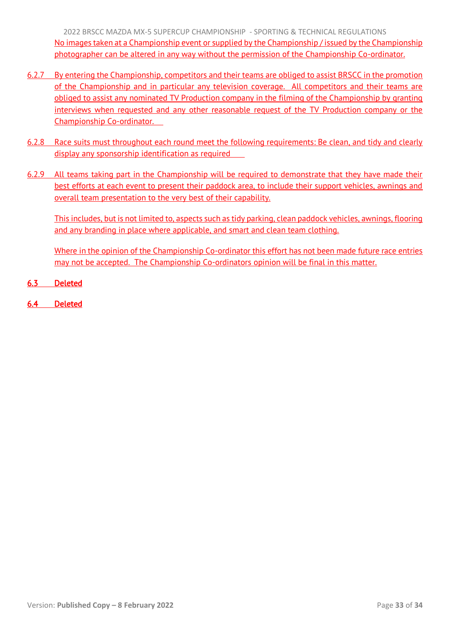2022 BRSCC MAZDA MX-5 SUPERCUP CHAMPIONSHIP - SPORTING & TECHNICAL REGULATIONS No images taken at a Championship event or supplied by the Championship / issued by the Championship photographer can be altered in any way without the permission of the Championship Co-ordinator.

- 6.2.7 By entering the Championship, competitors and their teams are obliged to assist BRSCC in the promotion of the Championship and in particular any television coverage. All competitors and their teams are obliged to assist any nominated TV Production company in the filming of the Championship by granting interviews when requested and any other reasonable request of the TV Production company or the Championship Co-ordinator.
- 6.2.8 Race suits must throughout each round meet the following requirements: Be clean, and tidy and clearly display any sponsorship identification as required
- 6.2.9 All teams taking part in the Championship will be required to demonstrate that they have made their best efforts at each event to present their paddock area, to include their support vehicles, awnings and overall team presentation to the very best of their capability.

This includes, but is not limited to, aspects such as tidy parking, clean paddock vehicles, awnings, flooring and any branding in place where applicable, and smart and clean team clothing.

Where in the opinion of the Championship Co-ordinator this effort has not been made future race entries may not be accepted. The Championship Co-ordinators opinion will be final in this matter.

- 6.3 Deleted
- 6.4 Deleted